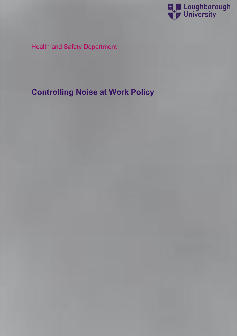

# Health and Safety Department

# **Controlling Noise at Work Policy**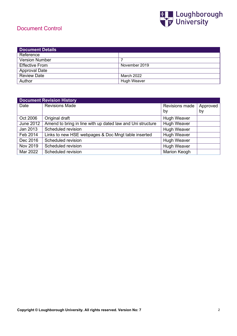# Document Control



| <b>Document Details</b> |               |
|-------------------------|---------------|
| Reference               |               |
| <b>Version Number</b>   |               |
| <b>Effective From</b>   | November 2019 |
| <b>Approval Date</b>    |               |
| <b>Review Date</b>      | March 2022    |
| Author                  | Hugh Weaver   |

| <b>Document Revision History</b> |                                                            |                     |          |  |  |
|----------------------------------|------------------------------------------------------------|---------------------|----------|--|--|
| Date                             | <b>Revisions Made</b>                                      | Revisions made      | Approved |  |  |
|                                  |                                                            | by                  | by       |  |  |
| Oct 2006                         | Original draft                                             | <b>Hugh Weaver</b>  |          |  |  |
| <b>June 2012</b>                 | Amend to bring in line with up dated law and Uni structure | <b>Hugh Weaver</b>  |          |  |  |
| Jan 2013                         | Scheduled revision                                         | <b>Hugh Weaver</b>  |          |  |  |
| Feb 2014                         | Links to new HSE webpages & Doc Mngt table inserted        | <b>Hugh Weaver</b>  |          |  |  |
| Dec 2016                         | Scheduled revision                                         | <b>Hugh Weaver</b>  |          |  |  |
| Nov 2019                         | Scheduled revision                                         | <b>Hugh Weaver</b>  |          |  |  |
| Mar 2022                         | Scheduled revision                                         | <b>Marion Keogh</b> |          |  |  |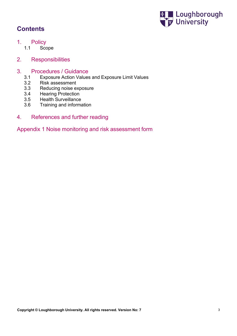

# **Contents**

- 1. Policy<br>1.1 Sco
	- Scope
- 2. Responsibilities

# 3. Procedures / Guidance<br>3.1 Exposure Action Values

- 3.1 Exposure Action Values and Exposure Limit Values
- 3.2 Risk assessment<br>3.3 Reducing noise ex
- Reducing noise exposure
- 3.4 Hearing Protection
- 3.5 Health Surveillance<br>3.6 Training and informa
- 3.6 Training and information
- 4. References and further reading

Appendix 1 Noise monitoring and risk assessment form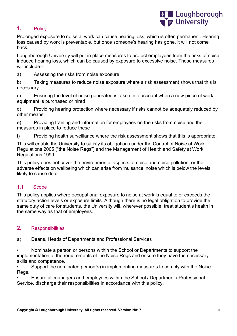

# **1.** Policy

Prolonged exposure to noise at work can cause hearing loss, which is often permanent. Hearing loss caused by work is preventable, but once someone's hearing has gone, it will not come back.

Loughborough University will put in place measures to protect employees from the risks of noise induced hearing loss, which can be caused by exposure to excessive noise. These measures will include:-

a) Assessing the risks from noise exposure

b) Taking measures to reduce noise exposure where a risk assessment shows that this is necessary

c) Ensuring the level of noise generated is taken into account when a new piece of work equipment is purchased or hired

d) Providing hearing protection where necessary if risks cannot be adequately reduced by other means.

e) Providing training and information for employees on the risks from noise and the measures in place to reduce these

f) Providing health surveillance where the risk assessment shows that this is appropriate.

This will enable the University to satisfy its obligations under the Control of Noise at Work Regulations 2005 ("the Noise Regs") and the Management of Health and Safety at Work Regulations 1999.

This policy does not cover the environmental aspects of noise and noise pollution; or the adverse effects on wellbeing which can arise from 'nuisance' noise which is below the levels likely to cause deaf

# 1.1 Scope

This policy applies where occupational exposure to noise at work is equal to or exceeds the statutory action levels or exposure limits. Although there is no legal obligation to provide the same duty of care for students, the University will, wherever possible, treat student's health in the same way as that of employees.

# **2.** Responsibilities

a) Deans, Heads of Departments and Professional Services

• Nominate a person or persons within the School or Departments to support the implementation of the requirements of the Noise Regs and ensure they have the necessary skills and competence.

• Support the nominated person(s) in implementing measures to comply with the Noise Regs.

• Ensure all managers and employees within the School / Department / Professional Service, discharge their responsibilities in accordance with this policy.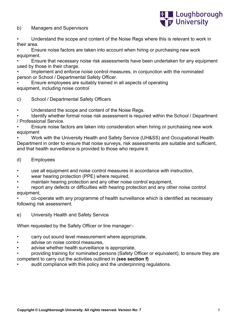b) Managers and Supervisors



• Understand the scope and content of the Noise Regs where this is relevant to work in their area.

• Ensure noise factors are taken into account when hiring or purchasing new work equipment.

• Ensure that necessary noise risk assessments have been undertaken for any equipment used by those in their charge.

Implement and enforce noise control measures, in conjunction with the nominated person or School / Departmental Safety Officer.

• Ensure employees are suitably trained in all aspects of operating equipment, including noise control

# c) School / Departmental Safety Officers

• Understand the scope and content of the Noise Regs.

• Identify whether formal noise risk assessment is required within the School / Department / Professional Service.

• Ensure noise factors are taken into consideration when hiring or purchasing new work equipment

• Work with the University Health and Safety Service (UH&SS) and Occupational Health Department in order to ensure that noise surveys, risk assessments are suitable and sufficient, and that health surveillance is provided to those who require it.

#### d) Employees

use all equipment and noise control measures in accordance with instruction,

- wear hearing protection (PPE) where required,
- maintain hearing protection and any other noise control equipment,

report any defects or difficulties with hearing protection and any other noise control equipment,

• co-operate with any programme of health surveillance which is identified as necessary following risk assessment.

e) University Health and Safety Service

When requested by the Safety Officer or line manager:-

- carry out sound level measurement where appropriate,
- advise on noise control measures,
- advise whether health surveillance is appropriate,
- providing training for nominated persons (Safety Officer or equivalent), to ensure they are
- competent to carry out the activities outlined in **(see section f)**
- audit compliance with this policy and the underpinning regulations.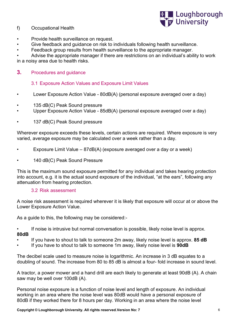### f) Occupational Health



- Provide health surveillance on request.
- Give feedback and guidance on risk to individuals following health surveillance.
- Feedback group results from health surveillance to the appropriate manager.

• Advise the appropriate manager if there are restrictions on an individual's ability to work in a noisy area due to health risks.

#### **3.** Procedures and guidance

#### 3.1 Exposure Action Values and Exposure Limit Values

- Lower Exposure Action Value 80dB(A) (personal exposure averaged over a day)
- 135 dB(C) Peak Sound pressure
- Upper Exposure Action Value 85dB(A) (personal exposure averaged over a day)
- 137 dB(C) Peak Sound pressure

Wherever exposure exceeds these levels, certain actions are required. Where exposure is very varied, average exposure may be calculated over a week rather than a day.

- Exposure Limit Value 87dB(A) (exposure averaged over a day or a week)
- 140 dB(C) Peak Sound Pressure

This is the maximum sound exposure permitted for any individual and takes hearing protection into account, e.g. it is the actual sound exposure of the individual, "at the ears", following any attenuation from hearing protection.

#### 3.2 Risk assessment

A noise risk assessment is required wherever it is likely that exposure will occur at or above the Lower Exposure Action Value.

As a guide to this, the following may be considered:-

If noise is intrusive but normal conversation is possible, likely noise level is approx. **80dB**

- If you have to shout to talk to someone 2m away, likely noise level is approx. **85 dB**
- If you have to shout to talk to someone 1m away, likely noise level is **90dB**

The decibel scale used to measure noise is logarithmic. An increase in 3 dB equates to a doubling of sound. The increase from 80 to 85 dB is almost a four- fold increase in sound level.

A tractor, a power mower and a hand drill are each likely to generate at least 90dB (A). A chain saw may be well over 100dB (A).

Personal noise exposure is a function of noise level and length of exposure. An individual working in an area where the noise level was 80dB would have a personal exposure of 80dB if they worked there for 8 hours per day. Working in an area where the noise level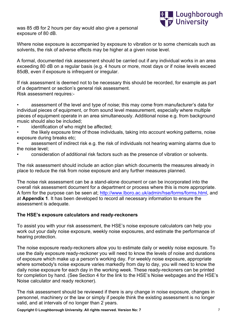



Where noise exposure is accompanied by exposure to vibration or to some chemicals such as solvents, the risk of adverse effects may be higher at a given noise level.

A formal, documented risk assessment should be carried out if any individual works in an area exceeding 80 dB on a regular basis (e.g. 4 hours or more, most days or if noise levels exceed 85dB, even if exposure is infrequent or irregular.

If risk assessment is deemed not to be necessary this should be recorded, for example as part of a department or section's general risk assessment. Risk assessment requires:-

assessment of the level and type of noise; this may come from manufacturer's data for individual pieces of equipment, or from sound level measurement, especially where multiple pieces of equipment operate in an area simultaneously. Additional noise e.g. from background music should also be included;

identification of who might be affected:

• the likely exposure time of those individuals, taking into account working patterns, noise exposure during breaks etc;

• assessment of indirect risk e.g. the risk of individuals not hearing warning alarms due to the noise level;

• consideration of additional risk factors such as the presence of vibration or solvents.

The risk assessment should include an action plan which documents the measures already in place to reduce the risk from noise exposure and any further measures planned.

The noise risk assessment can be a stand-alone document or can be incorporated into the overall risk assessment document for a department or process where this is more appropriate. A form for the purpose can be seen at; [http://www.lboro.ac.uk/admin/hse/forms/forms.html,](http://www.lboro.ac.uk/admin/hse/forms/forms.html) and at **Appendix 1**. It has been developed to record all necessary information to ensure the assessment is adequate.

#### **The HSE's exposure calculators and ready-reckoners**

To assist you with your risk assessment, the HSE's noise exposure calculators can help you work out your daily noise exposure, weekly noise exposures, and estimate the performance of hearing protection.

The noise exposure ready-reckoners allow you to estimate daily or weekly noise exposure. To use the daily exposure ready-reckoner you will need to know the levels of noise and durations of exposure which make up a person's working day. For weekly noise exposure, appropriate where somebody's noise exposure varies markedly from day to day, you will need to know the daily noise exposure for each day in the working week. These ready-reckoners can be printed for completion by hand. (See Section 4 for the link to the HSE's Noise webpages and the HSE's Noise calculator and ready reckoner).

The risk assessment should be reviewed if there is any change in noise exposure, changes in personnel, machinery or the law or simply if people think the existing assessment is no longer valid, and at intervals of no longer than 2 years.

**Copyright © Loughborough University. All rights reserved. Version No: 7**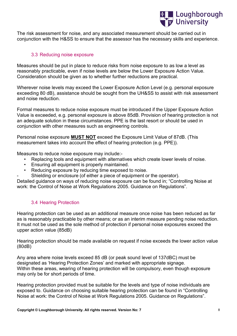

The risk assessment for noise, and any associated measurement should be carried out in conjunction with the H&SS to ensure that the assessor has the necessary skills and experience.

#### 3.3 Reducing noise exposure

Measures should be put in place to reduce risks from noise exposure to as low a level as reasonably practicable, even if noise levels are below the Lower Exposure Action Value. Consideration should be given as to whether further reductions are practical.

Wherever noise levels may exceed the Lower Exposure Action Level (e.g. personal exposure exceeding 80 dB), assistance should be sought from the UH&SS to assist with risk assessment and noise reduction.

Formal measures to reduce noise exposure must be introduced if the Upper Exposure Action Value is exceeded, e.g. personal exposure is above 85dB. Provision of hearing protection is not an adequate solution in these circumstances. PPE is the last resort or should be used in conjunction with other measures such as engineering controls.

Personal noise exposure **MUST NOT** exceed the Exposure Limit Value of 87dB. (This measurement takes into account the effect of hearing protection (e.g. PPE)).

Measures to reduce noise exposure may include:-

- Replacing tools and equipment with alternatives which create lower levels of noise.
- Ensuring all equipment is properly maintained.
- Reducing exposure by reducing time exposed to noise.
- Shielding or enclosure (of either a piece of equipment or the operator).

Detailed guidance on ways of reducing noise exposure can be found in; "Controlling Noise at work: the Control of Noise at Work Regulations 2005. Guidance on Regulations".

# 3.4 Hearing Protection

Hearing protection can be used as an additional measure once noise has been reduced as far as is reasonably practicable by other means; or as an interim measure pending noise reduction. It must not be used as the sole method of protection if personal noise exposures exceed the upper action value (85dB)

Hearing protection should be made available on request if noise exceeds the lower action value (80dB)

Any area where noise levels exceed 85 dB (or peak sound level of 137dBC) must be designated as 'Hearing Protection Zones' and marked with appropriate signage. Within these areas, wearing of hearing protection will be compulsory, even though exposure may only be for short periods of time.

Hearing protection provided must be suitable for the levels and type of noise individuals are exposed to. Guidance on choosing suitable hearing protection can be found in "Controlling Noise at work: the Control of Noise at Work Regulations 2005. Guidance on Regulations".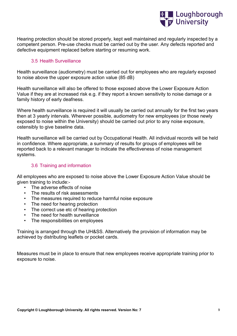

Hearing protection should be stored properly, kept well maintained and regularly inspected by a competent person. Pre-use checks must be carried out by the user. Any defects reported and defective equipment replaced before starting or resuming work.

#### 3.5 Health Surveillance

Health surveillance (audiometry) must be carried out for employees who are regularly exposed to noise above the upper exposure action value (85 dB)

Health surveillance will also be offered to those exposed above the Lower Exposure Action Value if they are at increased risk e.g. if they report a known sensitivity to noise damage or a family history of early deafness.

Where health surveillance is required it will usually be carried out annually for the first two years then at 3 yearly intervals. Wherever possible, audiometry for new employees (or those newly exposed to noise within the University) should be carried out prior to any noise exposure, ostensibly to give baseline data.

Health surveillance will be carried out by Occupational Health. All individual records will be held in confidence. Where appropriate, a summary of results for groups of employees will be reported back to a relevant manager to indicate the effectiveness of noise management systems.

#### 3.6 Training and information

All employees who are exposed to noise above the Lower Exposure Action Value should be given training to include:-

- The adverse effects of noise
- The results of risk assessments
- The measures required to reduce harmful noise exposure
- The need for hearing protection
- The correct use etc of hearing protection
- The need for health surveillance
- The responsibilities on employees

Training is arranged through the UH&SS. Alternatively the provision of information may be achieved by distributing leaflets or pocket cards.

Measures must be in place to ensure that new employees receive appropriate training prior to exposure to noise.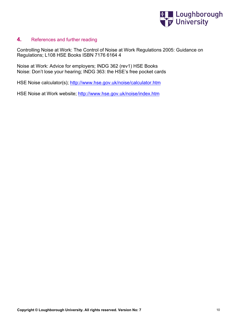

# **4.** References and further reading

Controlling Noise at Work: The Control of Noise at Work Regulations 2005: Guidance on Regulations; L108 HSE Books ISBN 7176 6164 4

Noise at Work: Advice for employers; INDG 362 (rev1) HSE Books Noise: Don't lose your hearing; INDG 363: the HSE's free pocket cards

HSE Noise calculator(s); <http://www.hse.gov.uk/noise/calculator.htm>

HSE Noise at Work website; <http://www.hse.gov.uk/noise/index.htm>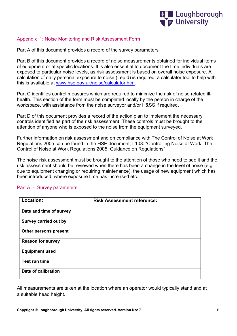

#### Appendix 1: Noise Monitoring and Risk Assessment Form

Part A of this document provides a record of the survey parameters

Part B of this document provides a record of noise measurements obtained for individual items of equipment or at specific locations. It is also essential to document the time individuals are exposed to particular noise levels, as risk assessment is based on overall noise exposure. A calculation of daily personal exposure to noise (Lep,d) is required; a calculator tool to help with this is available at [www.hse.gov.uk/noise/calculator.htm.](http://www.hse.gov.uk/noise/calculator.htm)

Part C identifies control measures which are required to minimize the risk of noise related illhealth. This section of the form must be completed locally by the person in charge of the workspace, with assistance from the noise surveyor and/or H&SS if required.

Part D of this document provides a record of the action plan to implement the necessary controls identified as part of the risk assessment. These controls must be brought to the attention of anyone who is exposed to the noise from the equipment surveyed.

Further information on risk assessment and on compliance with The Control of Noise at Work Regulations 2005 can be found in the HSE document; L108: "Controlling Noise at Work: The Control of Noise at Work Regulations 2005. Guidance on Regulations"

The noise risk assessment must be brought to the attention of those who need to see it and the risk assessment should be reviewed when there has been a change in the level of noise (e.g. due to equipment changing or requiring maintenance), the usage of new equipment which has been introduced, where exposure time has increased etc.

| Location:                    | <b>Risk Assessment reference:</b> |  |
|------------------------------|-----------------------------------|--|
| Date and time of survey      |                                   |  |
| <b>Survey carried out by</b> |                                   |  |
| Other persons present        |                                   |  |
| <b>Reason for survey</b>     |                                   |  |
| <b>Equipment used</b>        |                                   |  |
| Test run time                |                                   |  |
| Date of calibration          |                                   |  |

#### Part A - Survey parameters

All measurements are taken at the location where an operator would typically stand and at a suitable head height.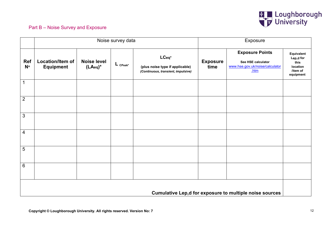

# Part B – Noise Survey and Exposure

|                                                                | Noise survey data                    |                                  |                                 | Exposure                                                                       |                         |                                                                                           |                                                                      |
|----------------------------------------------------------------|--------------------------------------|----------------------------------|---------------------------------|--------------------------------------------------------------------------------|-------------------------|-------------------------------------------------------------------------------------------|----------------------------------------------------------------------|
| <b>Ref</b><br>$N^{\circ}$                                      | Location/Item of<br><b>Equipment</b> | <b>Noise level</b><br>$(LAeq)^*$ | $\mathsf{L}_{\mathsf{CPeak}^*}$ | LCeq*<br>(plus noise type if applicable)<br>(Continuous, transient, impulsive) | <b>Exposure</b><br>time | <b>Exposure Points</b><br>See HSE calculator<br>www.hse.gov.uk/noise/calculator<br>$.htm$ | Equivalent<br>Lep,d for<br>this<br>location<br>/item of<br>equipment |
| 1                                                              |                                      |                                  |                                 |                                                                                |                         |                                                                                           |                                                                      |
| $\overline{2}$                                                 |                                      |                                  |                                 |                                                                                |                         |                                                                                           |                                                                      |
| 3                                                              |                                      |                                  |                                 |                                                                                |                         |                                                                                           |                                                                      |
| $\overline{4}$                                                 |                                      |                                  |                                 |                                                                                |                         |                                                                                           |                                                                      |
| 5                                                              |                                      |                                  |                                 |                                                                                |                         |                                                                                           |                                                                      |
| $\,6\,$                                                        |                                      |                                  |                                 |                                                                                |                         |                                                                                           |                                                                      |
| <b>Cumulative Lep,d for exposure to multiple noise sources</b> |                                      |                                  |                                 |                                                                                |                         |                                                                                           |                                                                      |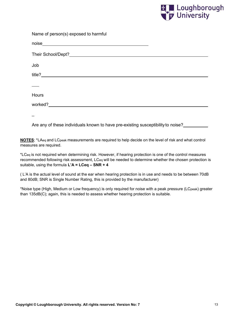

| Name of person(s) exposed to harmful                                             |  |
|----------------------------------------------------------------------------------|--|
|                                                                                  |  |
|                                                                                  |  |
| Job                                                                              |  |
|                                                                                  |  |
|                                                                                  |  |
| Hours                                                                            |  |
|                                                                                  |  |
|                                                                                  |  |
| Are any of these individuals known to have pre-existing susceptibility to noise? |  |

**NOTES**; \*LAeq and LCpeak measurements are required to help decide on the level of risk and what control measures are required.

\*LCeq is not required when determining risk. However, if hearing protection is one of the control measures recommended following risk assessment, LCeq will be needed to determine whether the chosen protection is suitable, using the formula **L'A = LCeq – SNR + 4**

( L'A is the actual level of sound at the ear when hearing protection is in use and needs to be between 70dB and 80dB; SNR is Single Number Rating, this is provided by the manufacturer)

\*Noise type (High, Medium or Low frequency) is only required for noise with a peak pressure (LCpeak) greater than 135dB(C); again, this is needed to assess whether hearing protection is suitable.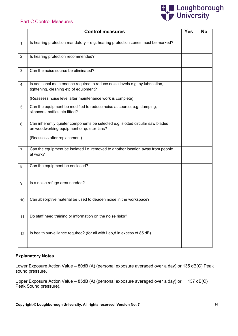#### Part C Control Measures



|                | <b>Control measures</b>                                                                                                     | <b>Yes</b> | <b>No</b> |
|----------------|-----------------------------------------------------------------------------------------------------------------------------|------------|-----------|
| $\mathbf{1}$   | Is hearing protection mandatory - e.g. hearing protection zones must be marked?                                             |            |           |
| $\overline{2}$ | Is hearing protection recommended?                                                                                          |            |           |
| 3              | Can the noise source be eliminated?                                                                                         |            |           |
| $\overline{4}$ | Is additional maintenance required to reduce noise levels e.g. by lubrication,<br>tightening, cleaning etc of equipment?    |            |           |
|                | (Reassess noise level after maintenance work is complete)                                                                   |            |           |
| 5              | Can the equipment be modified to reduce noise at source, e.g. damping,<br>silencers, baffles etc fitted?                    |            |           |
| 6              | Can inherently quieter components be selected e.g. slotted circular saw blades<br>on woodworking equipment or quieter fans? |            |           |
|                | (Reassess after replacement)                                                                                                |            |           |
| $\overline{7}$ | Can the equipment be Isolated i.e. removed to another location away from people<br>at work?                                 |            |           |
| 8              | Can the equipment be enclosed?                                                                                              |            |           |
| 9              | Is a noise refuge area needed?                                                                                              |            |           |
| 10             | Can absorptive material be used to deaden noise in the workspace?                                                           |            |           |
| 11             | Do staff need training or information on the noise risks?                                                                   |            |           |
| 12             | Is health surveillance required? (for all with Lep,d in excess of 85 dB)                                                    |            |           |

#### **Explanatory Notes**

Lower Exposure Action Value – 80dB (A) (personal exposure averaged over a day) or 135 dB(C) Peak sound pressure.

Upper Exposure Action Value – 85dB (A) (personal exposure averaged over a day) or 137 dB(C) Peak Sound pressure).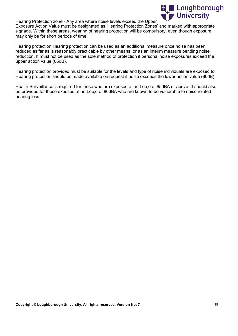

Hearing Protection zone - Any area where noise levels exceed the Upper

Exposure Action Value must be designated as 'Hearing Protection Zones' and marked with appropriate signage. Within these areas, wearing of hearing protection will be compulsory, even though exposure may only be for short periods of time.

Hearing protection Hearing protection can be used as an additional measure once noise has been reduced as far as is reasonably practicable by other means; or as an interim measure pending noise reduction. It must not be used as the sole method of protection if personal noise exposures exceed the upper action value (85dB).

Hearing protection provided must be suitable for the levels and type of noise individuals are exposed to. Hearing protection should be made available on request if noise exceeds the lower action value (80dB)

Health Surveillance is required for those who are exposed at an Lep,d of 85dBA or above. It should also be provided for those exposed at an Lep,d of 80dBA who are known to be vulnerable to noise related hearing loss.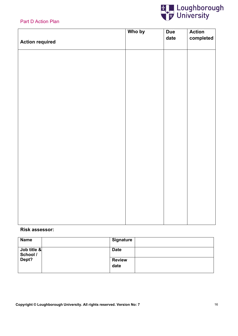

# Part D Action Plan

|                        | Who by | <b>Due</b> | Action    |
|------------------------|--------|------------|-----------|
| <b>Action required</b> |        | date       | completed |
|                        |        |            |           |
|                        |        |            |           |
|                        |        |            |           |
|                        |        |            |           |
|                        |        |            |           |
|                        |        |            |           |
|                        |        |            |           |
|                        |        |            |           |
|                        |        |            |           |
|                        |        |            |           |
|                        |        |            |           |
|                        |        |            |           |
|                        |        |            |           |
|                        |        |            |           |
|                        |        |            |           |
|                        |        |            |           |
|                        |        |            |           |
|                        |        |            |           |
|                        |        |            |           |
|                        |        |            |           |
|                        |        |            |           |
|                        |        |            |           |
|                        |        |            |           |
|                        |        |            |           |
|                        |        |            |           |
|                        |        |            |           |
|                        |        |            |           |
|                        |        |            |           |

#### **Risk assessor:**

| <b>Name</b>             | Signature             |
|-------------------------|-----------------------|
| Job title &<br>School / | <b>Date</b>           |
| Dept?                   | <b>Review</b><br>date |